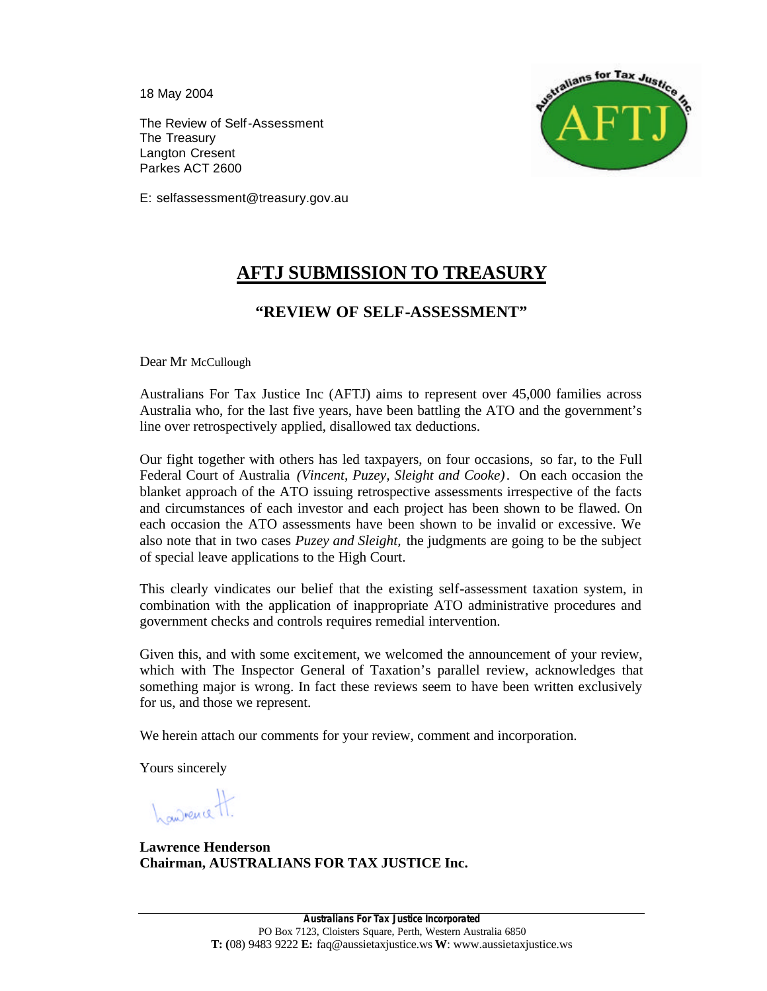18 May 2004

The Review of Self-Assessment The Treasury Langton Cresent Parkes ACT 2600



E: selfassessment@treasury.gov.au

# **AFTJ SUBMISSION TO TREASURY**

# **"REVIEW OF SELF-ASSESSMENT"**

Dear Mr McCullough

Australians For Tax Justice Inc (AFTJ) aims to represent over 45,000 families across Australia who, for the last five years, have been battling the ATO and the government's line over retrospectively applied, disallowed tax deductions.

Our fight together with others has led taxpayers, on four occasions, so far, to the Full Federal Court of Australia *(Vincent, Puzey, Sleight and Cooke)*. On each occasion the blanket approach of the ATO issuing retrospective assessments irrespective of the facts and circumstances of each investor and each project has been shown to be flawed. On each occasion the ATO assessments have been shown to be invalid or excessive. We also note that in two cases *Puzey and Sleight,* the judgments are going to be the subject of special leave applications to the High Court.

This clearly vindicates our belief that the existing self-assessment taxation system, in combination with the application of inappropriate ATO administrative procedures and government checks and controls requires remedial intervention.

Given this, and with some excitement, we welcomed the announcement of your review, which with The Inspector General of Taxation's parallel review, acknowledges that something major is wrong. In fact these reviews seem to have been written exclusively for us, and those we represent.

We herein attach our comments for your review, comment and incorporation.

Yours sincerely

hawrence H.

**Lawrence Henderson Chairman, AUSTRALIANS FOR TAX JUSTICE Inc.**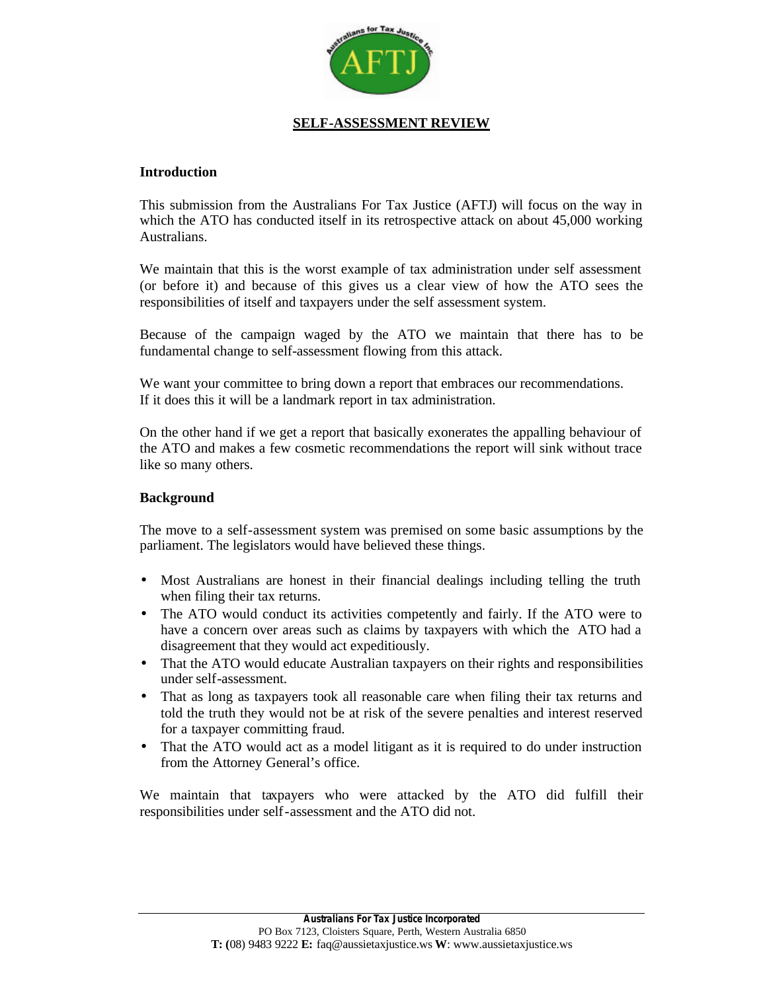

### **SELF-ASSESSMENT REVIEW**

#### **Introduction**

This submission from the Australians For Tax Justice (AFTJ) will focus on the way in which the ATO has conducted itself in its retrospective attack on about 45,000 working Australians.

We maintain that this is the worst example of tax administration under self assessment (or before it) and because of this gives us a clear view of how the ATO sees the responsibilities of itself and taxpayers under the self assessment system.

Because of the campaign waged by the ATO we maintain that there has to be fundamental change to self-assessment flowing from this attack.

We want your committee to bring down a report that embraces our recommendations. If it does this it will be a landmark report in tax administration.

On the other hand if we get a report that basically exonerates the appalling behaviour of the ATO and makes a few cosmetic recommendations the report will sink without trace like so many others.

#### **Background**

The move to a self-assessment system was premised on some basic assumptions by the parliament. The legislators would have believed these things.

- Most Australians are honest in their financial dealings including telling the truth when filing their tax returns.
- The ATO would conduct its activities competently and fairly. If the ATO were to have a concern over areas such as claims by taxpayers with which the ATO had a disagreement that they would act expeditiously.
- That the ATO would educate Australian taxpayers on their rights and responsibilities under self-assessment.
- That as long as taxpayers took all reasonable care when filing their tax returns and told the truth they would not be at risk of the severe penalties and interest reserved for a taxpayer committing fraud.
- That the ATO would act as a model litigant as it is required to do under instruction from the Attorney General's office.

We maintain that taxpayers who were attacked by the ATO did fulfill their responsibilities under self-assessment and the ATO did not.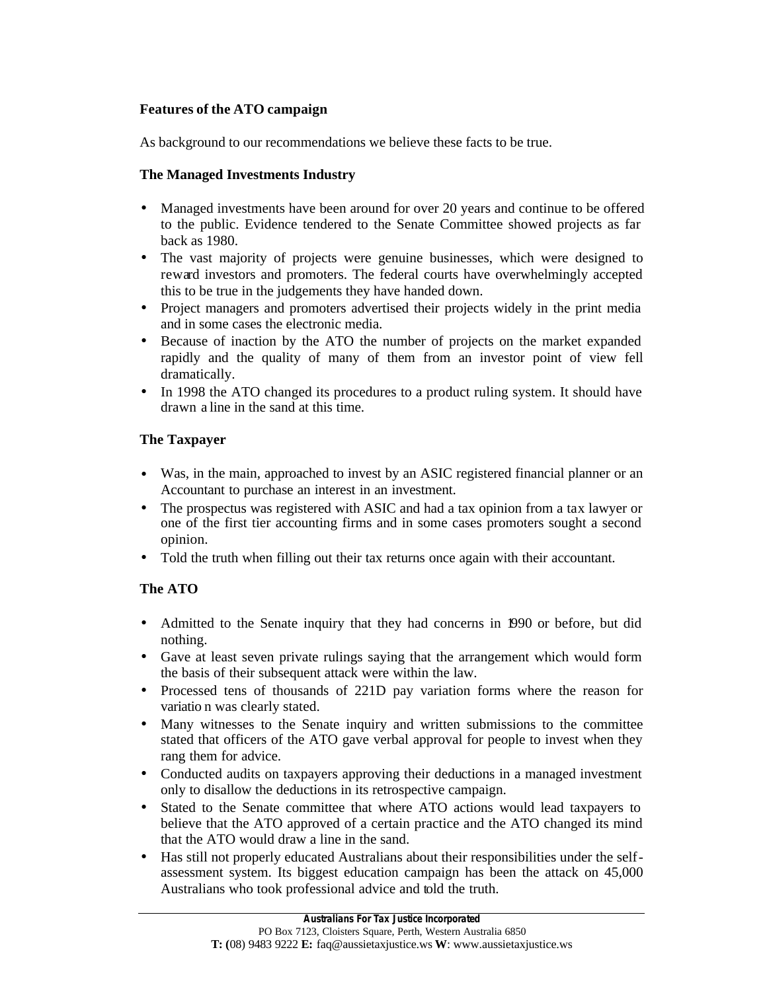## **Features of the ATO campaign**

As background to our recommendations we believe these facts to be true.

## **The Managed Investments Industry**

- Managed investments have been around for over 20 years and continue to be offered to the public. Evidence tendered to the Senate Committee showed projects as far back as 1980.
- The vast majority of projects were genuine businesses, which were designed to reward investors and promoters. The federal courts have overwhelmingly accepted this to be true in the judgements they have handed down.
- Project managers and promoters advertised their projects widely in the print media and in some cases the electronic media.
- Because of inaction by the ATO the number of projects on the market expanded rapidly and the quality of many of them from an investor point of view fell dramatically.
- In 1998 the ATO changed its procedures to a product ruling system. It should have drawn a line in the sand at this time.

## **The Taxpayer**

- Was, in the main, approached to invest by an ASIC registered financial planner or an Accountant to purchase an interest in an investment.
- The prospectus was registered with ASIC and had a tax opinion from a tax lawyer or one of the first tier accounting firms and in some cases promoters sought a second opinion.
- Told the truth when filling out their tax returns once again with their accountant.

## **The ATO**

- Admitted to the Senate inquiry that they had concerns in 1990 or before, but did nothing.
- Gave at least seven private rulings saying that the arrangement which would form the basis of their subsequent attack were within the law.
- Processed tens of thousands of 221D pay variation forms where the reason for variatio n was clearly stated.
- Many witnesses to the Senate inquiry and written submissions to the committee stated that officers of the ATO gave verbal approval for people to invest when they rang them for advice.
- Conducted audits on taxpayers approving their deductions in a managed investment only to disallow the deductions in its retrospective campaign.
- Stated to the Senate committee that where ATO actions would lead taxpayers to believe that the ATO approved of a certain practice and the ATO changed its mind that the ATO would draw a line in the sand.
- Has still not properly educated Australians about their responsibilities under the selfassessment system. Its biggest education campaign has been the attack on 45,000 Australians who took professional advice and told the truth.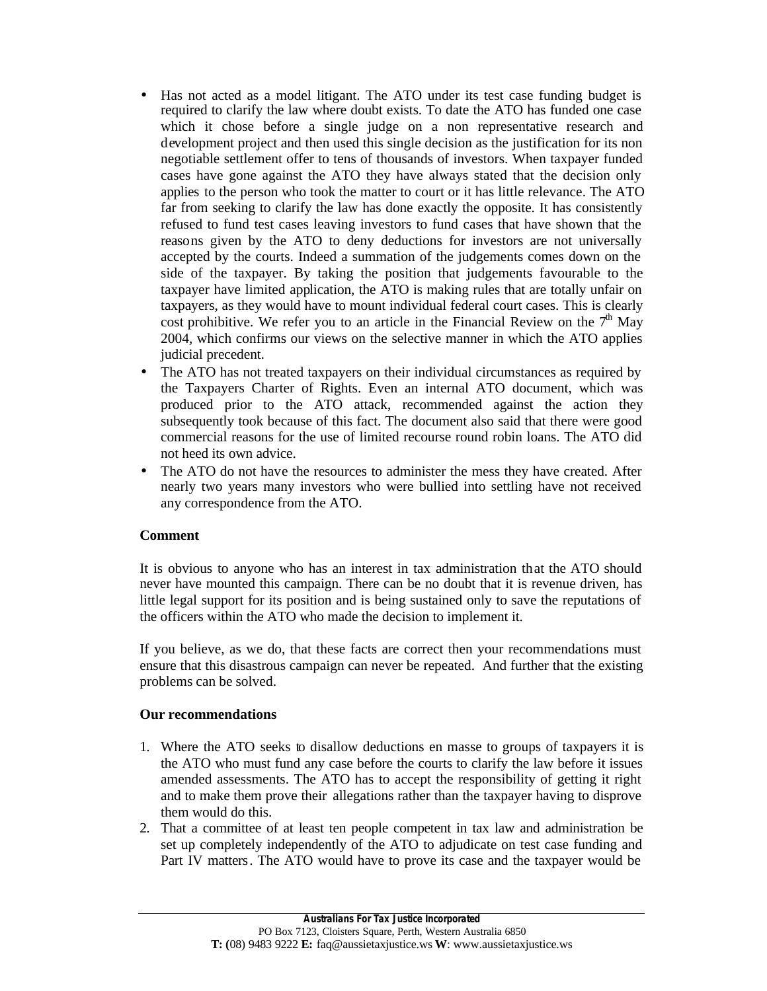- Has not acted as a model litigant. The ATO under its test case funding budget is required to clarify the law where doubt exists. To date the ATO has funded one case which it chose before a single judge on a non representative research and development project and then used this single decision as the justification for its non negotiable settlement offer to tens of thousands of investors. When taxpayer funded cases have gone against the ATO they have always stated that the decision only applies to the person who took the matter to court or it has little relevance. The ATO far from seeking to clarify the law has done exactly the opposite. It has consistently refused to fund test cases leaving investors to fund cases that have shown that the reasons given by the ATO to deny deductions for investors are not universally accepted by the courts. Indeed a summation of the judgements comes down on the side of the taxpayer. By taking the position that judgements favourable to the taxpayer have limited application, the ATO is making rules that are totally unfair on taxpayers, as they would have to mount individual federal court cases. This is clearly cost prohibitive. We refer you to an article in the Financial Review on the  $7<sup>th</sup>$  May 2004, which confirms our views on the selective manner in which the ATO applies judicial precedent.
- The ATO has not treated taxpayers on their individual circumstances as required by the Taxpayers Charter of Rights. Even an internal ATO document, which was produced prior to the ATO attack, recommended against the action they subsequently took because of this fact. The document also said that there were good commercial reasons for the use of limited recourse round robin loans. The ATO did not heed its own advice.
- The ATO do not have the resources to administer the mess they have created. After nearly two years many investors who were bullied into settling have not received any correspondence from the ATO.

### **Comment**

It is obvious to anyone who has an interest in tax administration that the ATO should never have mounted this campaign. There can be no doubt that it is revenue driven, has little legal support for its position and is being sustained only to save the reputations of the officers within the ATO who made the decision to implement it.

If you believe, as we do, that these facts are correct then your recommendations must ensure that this disastrous campaign can never be repeated. And further that the existing problems can be solved.

#### **Our recommendations**

- 1. Where the ATO seeks to disallow deductions en masse to groups of taxpayers it is the ATO who must fund any case before the courts to clarify the law before it issues amended assessments. The ATO has to accept the responsibility of getting it right and to make them prove their allegations rather than the taxpayer having to disprove them would do this.
- 2. That a committee of at least ten people competent in tax law and administration be set up completely independently of the ATO to adjudicate on test case funding and Part IV matters. The ATO would have to prove its case and the taxpayer would be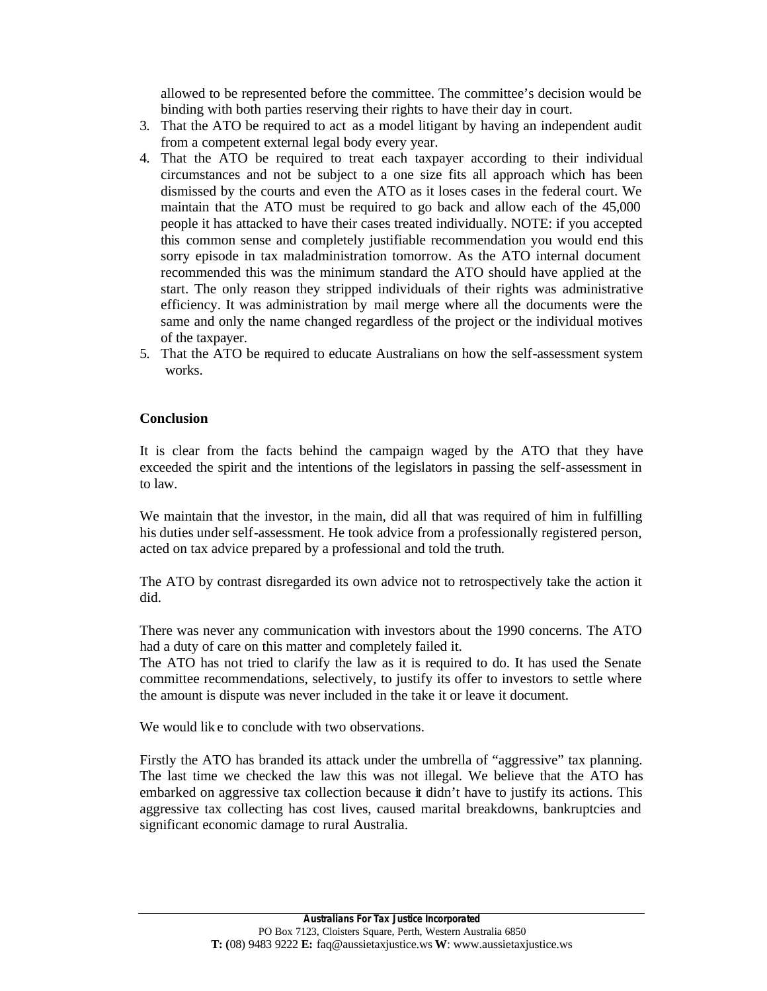allowed to be represented before the committee. The committee's decision would be binding with both parties reserving their rights to have their day in court.

- 3. That the ATO be required to act as a model litigant by having an independent audit from a competent external legal body every year.
- 4. That the ATO be required to treat each taxpayer according to their individual circumstances and not be subject to a one size fits all approach which has been dismissed by the courts and even the ATO as it loses cases in the federal court. We maintain that the ATO must be required to go back and allow each of the 45,000 people it has attacked to have their cases treated individually. NOTE: if you accepted this common sense and completely justifiable recommendation you would end this sorry episode in tax maladministration tomorrow. As the ATO internal document recommended this was the minimum standard the ATO should have applied at the start. The only reason they stripped individuals of their rights was administrative efficiency. It was administration by mail merge where all the documents were the same and only the name changed regardless of the project or the individual motives of the taxpayer.
- 5. That the ATO be required to educate Australians on how the self-assessment system works.

#### **Conclusion**

It is clear from the facts behind the campaign waged by the ATO that they have exceeded the spirit and the intentions of the legislators in passing the self-assessment in to law.

We maintain that the investor, in the main, did all that was required of him in fulfilling his duties under self-assessment. He took advice from a professionally registered person, acted on tax advice prepared by a professional and told the truth.

The ATO by contrast disregarded its own advice not to retrospectively take the action it did.

There was never any communication with investors about the 1990 concerns. The ATO had a duty of care on this matter and completely failed it.

The ATO has not tried to clarify the law as it is required to do. It has used the Senate committee recommendations, selectively, to justify its offer to investors to settle where the amount is dispute was never included in the take it or leave it document.

We would like to conclude with two observations.

Firstly the ATO has branded its attack under the umbrella of "aggressive" tax planning. The last time we checked the law this was not illegal. We believe that the ATO has embarked on aggressive tax collection because it didn't have to justify its actions. This aggressive tax collecting has cost lives, caused marital breakdowns, bankruptcies and significant economic damage to rural Australia.